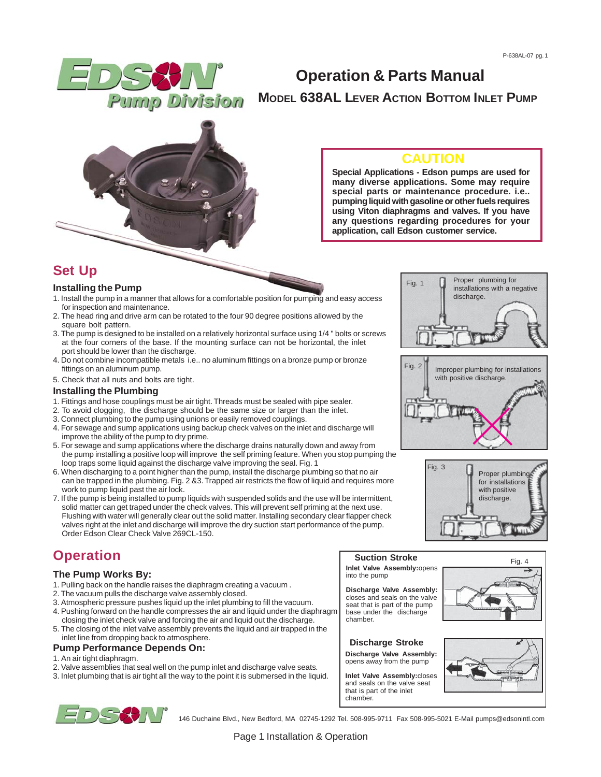

# **Operation & Parts Manual MODEL 638AL LEVER ACTION BOTTOM INLET PUMP**



### **CAUTION**

**Special Applications - Edson pumps are used for many diverse applications. Some may require special parts or maintenance procedure. i.e.. pumping liquid with gasoline or other fuels requires using Viton diaphragms and valves. If you have any questions regarding procedures for your application, call Edson customer service.**

Fig. 1

Fig. 2

Fig. 3

Proper plumbing for installations with a negative

Improper plumbing for installations with positive discharge.

discharge.

### **Set Up**

#### **Installing the Pump**

- 1. Install the pump in a manner that allows for a comfortable position for pumping and easy access for inspection and maintenance.
- 2. The head ring and drive arm can be rotated to the four 90 degree positions allowed by the square bolt pattern.
- 3. The pump is designed to be installed on a relatively horizontal surface using 1/4 " bolts or screws at the four corners of the base. If the mounting surface can not be horizontal, the inlet port should be lower than the discharge.
- 4. Do not combine incompatible metals i.e.. no aluminum fittings on a bronze pump or bronze fittings on an aluminum pump.
- 5. Check that all nuts and bolts are tight.

#### **Installing the Plumbing**

- 1. Fittings and hose couplings must be air tight. Threads must be sealed with pipe sealer.
- 2. To avoid clogging, the discharge should be the same size or larger than the inlet.
- 3. Connect plumbing to the pump using unions or easily removed couplings.
- 4. For sewage and sump applications using backup check valves on the inlet and discharge will improve the ability of the pump to dry prime.
- 5. For sewage and sump applications where the discharge drains naturally down and away from the pump installing a positive loop will improve the self priming feature. When you stop pumping the loop traps some liquid against the discharge valve improving the seal. Fig. 1
- 6. When discharging to a point higher than the pump, install the discharge plumbing so that no air can be trapped in the plumbing. Fig. 2 &3. Trapped air restricts the flow of liquid and requires more work to pump liquid past the air lock.
- 7. If the pump is being installed to pump liquids with suspended solids and the use will be intermittent, solid matter can get traped under the check valves. This will prevent self priming at the next use. Flushing with water will generally clear out the solid matter. Installing secondary clear flapper check valves right at the inlet and discharge will improve the dry suction start performance of the pump. Order Edson Clear Check Valve 269CL-150.

# **Operation**

#### **The Pump Works By:**

- 1. Pulling back on the handle raises the diaphragm creating a vacuum .
- 2. The vacuum pulls the discharge valve assembly closed.
- 3. Atmospheric pressure pushes liquid up the inlet plumbing to fill the vacuum. 4. Pushing forward on the handle compresses the air and liquid under the diaphragm closing the inlet check valve and forcing the air and liquid out the discharge.
- 5. The closing of the inlet valve assembly prevents the liquid and air trapped in the inlet line from dropping back to atmosphere.

#### **Pump Performance Depends On:**

1. An air tight diaphragm.

- 2. Valve assemblies that seal well on the pump inlet and discharge valve seats.
- 3. Inlet plumbing that is air tight all the way to the point it is submersed in the liquid.

### **Inlet Valve Assembly:**opens into the pump

**Discharge Valve Assembly:** closes and seals on the valve seat that is part of the pump base under the discharge chamber.



opens away from the pump

**Inlet Valve Assembly:**closes and seals on the valve seat that is part of the inlet chamber.



Proper plumbing for installations with positive discharge.





146 Duchaine Blvd., New Bedford, MA 02745-1292 Tel. 508-995-9711 Fax 508-995-5021 E-Mail pumps@edsonintl.com